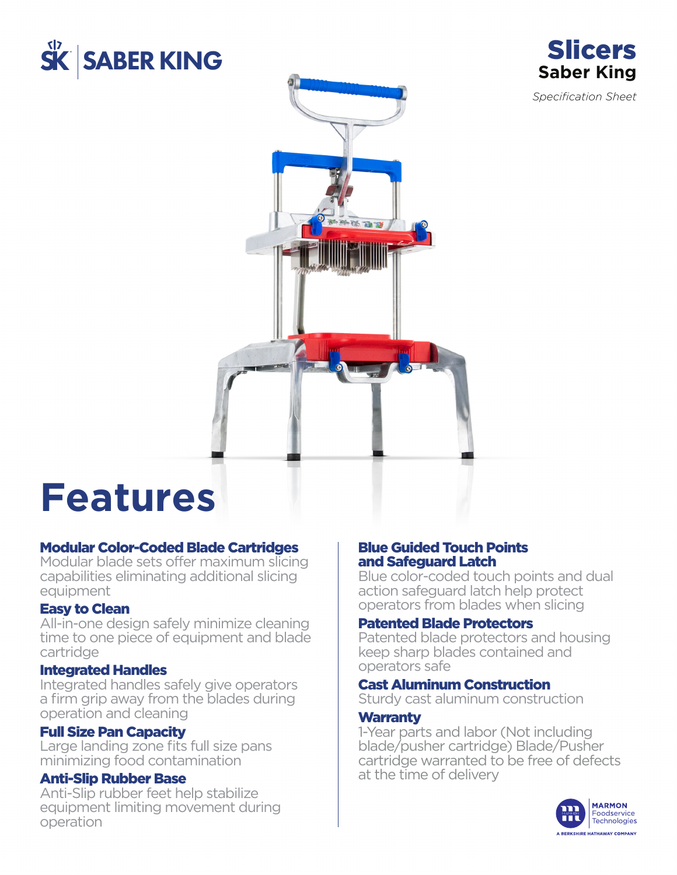



*Specification Sheet*



# **Features**

#### Modular Color-Coded Blade Cartridges

Modular blade sets offer maximum slicing capabilities eliminating additional slicing equipment

#### Easy to Clean

All-in-one design safely minimize cleaning time to one piece of equipment and blade cartridge

#### Integrated Handles

Integrated handles safely give operators a firm grip away from the blades during operation and cleaning

#### Full Size Pan Capacity

Large landing zone fits full size pans minimizing food contamination

#### Anti-Slip Rubber Base

Anti-Slip rubber feet help stabilize equipment limiting movement during operation

#### Blue Guided Touch Points and Safeguard Latch

Blue color-coded touch points and dual action safeguard latch help protect operators from blades when slicing

#### Patented Blade Protectors

Patented blade protectors and housing keep sharp blades contained and operators safe

#### Cast Aluminum Construction

Sturdy cast aluminum construction

#### **Warranty**

1-Year parts and labor (Not including blade/pusher cartridge) Blade/Pusher cartridge warranted to be free of defects at the time of delivery